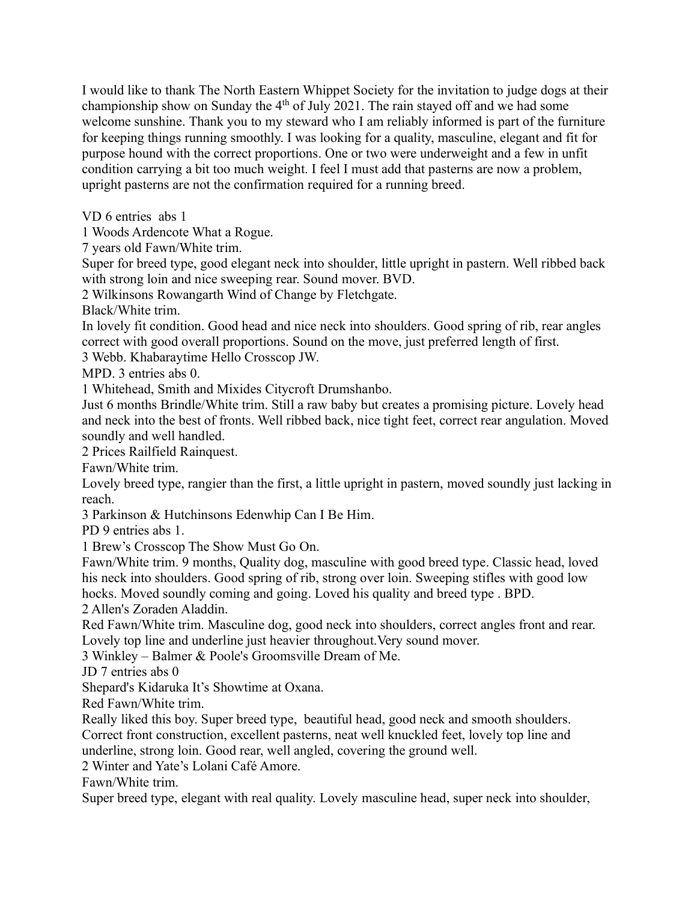I would like to thank The North Eastern Whippet Society for the invitation to judge dogs at their championship show on Sunday the  $4<sup>th</sup>$  of July 2021. The rain stayed off and we had some welcome sunshine. Thank you to my steward who I am reliably informed is part of the furniture for keeping things running smoothly. I was looking for a quality, masculine, elegant and fit for purpose hound with the correct proportions. One or two were underweight and a few in unfit condition carrying a bit too much weight. I feel I must add that pasterns are now a problem, upright pasterns are not the confirmation required for a running breed.

VD 6 entries abs 1

1 Woods Ardencote What a Rogue.

7 years old Fawn/White trim.

Super for breed type, good elegant neck into shoulder, little upright in pastern. Well ribbed back with strong loin and nice sweeping rear. Sound mover. BVD.

2 Wilkinsons Rowangarth Wind of Change by Fletchgate.

Black/White trim.

In lovely fit condition. Good head and nice neck into shoulders. Good spring of rib, rear angles correct with good overall proportions. Sound on the move, just preferred length of first.

3 Webb. Khabaraytime Hello Crosscop JW.

MPD. 3 entries abs 0.

1 Whitehead, Smith and Mixides Citycroft Drumshanbo.

Just 6 months Brindle/White trim. Still a raw baby but creates a promising picture. Lovely head and neck into the best of fronts. Well ribbed back, nice tight feet, correct rear angulation. Moved soundly and well handled.

2 Prices Railfield Rainquest.

Fawn/White trim.

Lovely breed type, rangier than the first, a little upright in pastern, moved soundly just lacking in reach.

3 Parkinson & Hutchinsons Edenwhip Can I Be Him.

PD 9 entries abs 1.

1 Brew's Crosscop The Show Must Go On.

Fawn/White trim. 9 months, Quality dog, masculine with good breed type. Classic head, loved his neck into shoulders. Good spring of rib, strong over loin. Sweeping stifles with good low hocks. Moved soundly coming and going. Loved his quality and breed type . BPD.

2 Allen's Zoraden Aladdin.

Red Fawn/White trim. Masculine dog, good neck into shoulders, correct angles front and rear. Lovely top line and underline just heavier throughout.Very sound mover.

3 Winkley – Balmer & Poole's Groomsville Dream of Me.

JD 7 entries abs 0

Shepard's Kidaruka It's Showtime at Oxana.

Red Fawn/White trim.

Really liked this boy. Super breed type, beautiful head, good neck and smooth shoulders.

Correct front construction, excellent pasterns, neat well knuckled feet, lovely top line and underline, strong loin. Good rear, well angled, covering the ground well.

2 Winter and Yate's Lolani Café Amore.

Fawn/White trim.

Super breed type, elegant with real quality. Lovely masculine head, super neck into shoulder,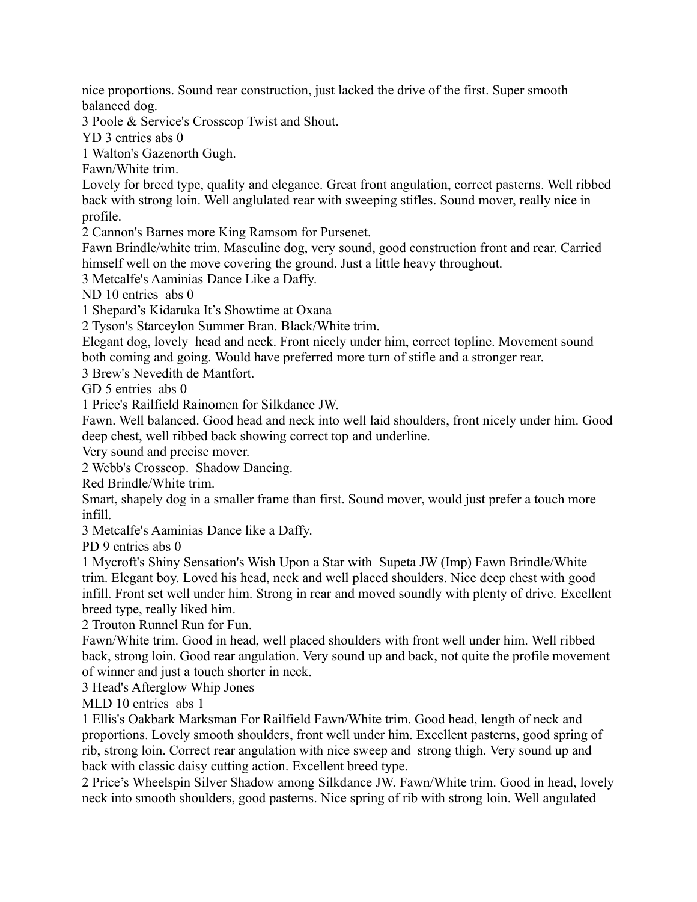nice proportions. Sound rear construction, just lacked the drive of the first. Super smooth balanced dog.

3 Poole & Service's Crosscop Twist and Shout.

YD 3 entries abs 0

1 Walton's Gazenorth Gugh.

Fawn/White trim.

Lovely for breed type, quality and elegance. Great front angulation, correct pasterns. Well ribbed back with strong loin. Well anglulated rear with sweeping stifles. Sound mover, really nice in profile.

2 Cannon's Barnes more King Ramsom for Pursenet.

Fawn Brindle/white trim. Masculine dog, very sound, good construction front and rear. Carried himself well on the move covering the ground. Just a little heavy throughout.

3 Metcalfe's Aaminias Dance Like a Daffy.

ND 10 entries abs 0

1 Shepard's Kidaruka It's Showtime at Oxana

2 Tyson's Starceylon Summer Bran. Black/White trim.

Elegant dog, lovely head and neck. Front nicely under him, correct topline. Movement sound both coming and going. Would have preferred more turn of stifle and a stronger rear.

3 Brew's Nevedith de Mantfort.

GD 5 entries abs 0

1 Price's Railfield Rainomen for Silkdance JW.

Fawn. Well balanced. Good head and neck into well laid shoulders, front nicely under him. Good deep chest, well ribbed back showing correct top and underline.

Very sound and precise mover.

2 Webb's Crosscop. Shadow Dancing.

Red Brindle/White trim.

Smart, shapely dog in a smaller frame than first. Sound mover, would just prefer a touch more infill.

3 Metcalfe's Aaminias Dance like a Daffy.

PD 9 entries abs 0

1 Mycroft's Shiny Sensation's Wish Upon a Star with Supeta JW (Imp) Fawn Brindle/White trim. Elegant boy. Loved his head, neck and well placed shoulders. Nice deep chest with good infill. Front set well under him. Strong in rear and moved soundly with plenty of drive. Excellent breed type, really liked him.

2 Trouton Runnel Run for Fun.

Fawn/White trim. Good in head, well placed shoulders with front well under him. Well ribbed back, strong loin. Good rear angulation. Very sound up and back, not quite the profile movement of winner and just a touch shorter in neck.

3 Head's Afterglow Whip Jones

MLD 10 entries abs 1

1 Ellis's Oakbark Marksman For Railfield Fawn/White trim. Good head, length of neck and proportions. Lovely smooth shoulders, front well under him. Excellent pasterns, good spring of rib, strong loin. Correct rear angulation with nice sweep and strong thigh. Very sound up and back with classic daisy cutting action. Excellent breed type.

2 Price's Wheelspin Silver Shadow among Silkdance JW. Fawn/White trim. Good in head, lovely neck into smooth shoulders, good pasterns. Nice spring of rib with strong loin. Well angulated